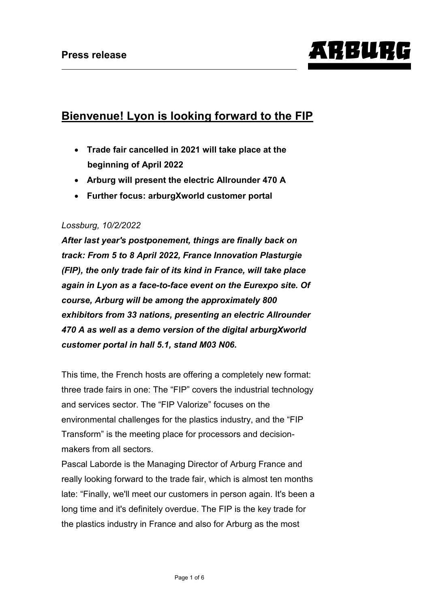

# **Bienvenue! Lyon is looking forward to the FIP**

- **Trade fair cancelled in 2021 will take place at the beginning of April 2022**
- **Arburg will present the electric Allrounder 470 A**
- **Further focus: arburgXworld customer portal**

#### *Lossburg, 10/2/2022*

*After last year's postponement, things are finally back on track: From 5 to 8 April 2022, France Innovation Plasturgie (FIP), the only trade fair of its kind in France, will take place again in Lyon as a face-to-face event on the Eurexpo site. Of course, Arburg will be among the approximately 800 exhibitors from 33 nations, presenting an electric Allrounder 470 A as well as a demo version of the digital arburgXworld customer portal in hall 5.1, stand M03 N06.*

This time, the French hosts are offering a completely new format: three trade fairs in one: The "FIP" covers the industrial technology and services sector. The "FIP Valorize" focuses on the environmental challenges for the plastics industry, and the "FIP Transform" is the meeting place for processors and decisionmakers from all sectors.

Pascal Laborde is the Managing Director of Arburg France and really looking forward to the trade fair, which is almost ten months late: "Finally, we'll meet our customers in person again. It's been a long time and it's definitely overdue. The FIP is the key trade for the plastics industry in France and also for Arburg as the most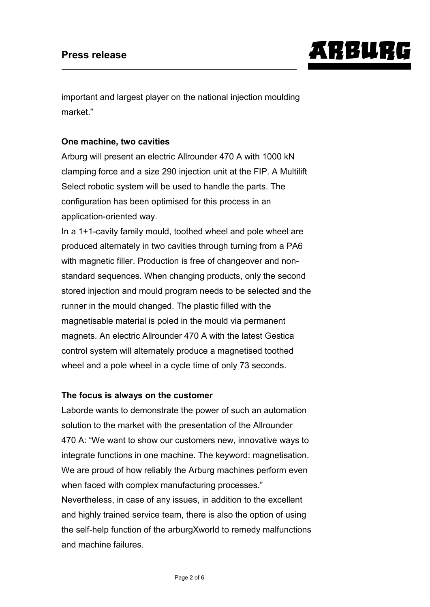

important and largest player on the national injection moulding market."

## **One machine, two cavities**

Arburg will present an electric Allrounder 470 A with 1000 kN clamping force and a size 290 injection unit at the FIP. A Multilift Select robotic system will be used to handle the parts. The configuration has been optimised for this process in an application-oriented way.

In a 1+1-cavity family mould, toothed wheel and pole wheel are produced alternately in two cavities through turning from a PA6 with magnetic filler. Production is free of changeover and nonstandard sequences. When changing products, only the second stored injection and mould program needs to be selected and the runner in the mould changed. The plastic filled with the magnetisable material is poled in the mould via permanent magnets. An electric Allrounder 470 A with the latest Gestica control system will alternately produce a magnetised toothed wheel and a pole wheel in a cycle time of only 73 seconds.

#### **The focus is always on the customer**

Laborde wants to demonstrate the power of such an automation solution to the market with the presentation of the Allrounder 470 A: "We want to show our customers new, innovative ways to integrate functions in one machine. The keyword: magnetisation. We are proud of how reliably the Arburg machines perform even when faced with complex manufacturing processes." Nevertheless, in case of any issues, in addition to the excellent and highly trained service team, there is also the option of using the self-help function of the arburgXworld to remedy malfunctions and machine failures.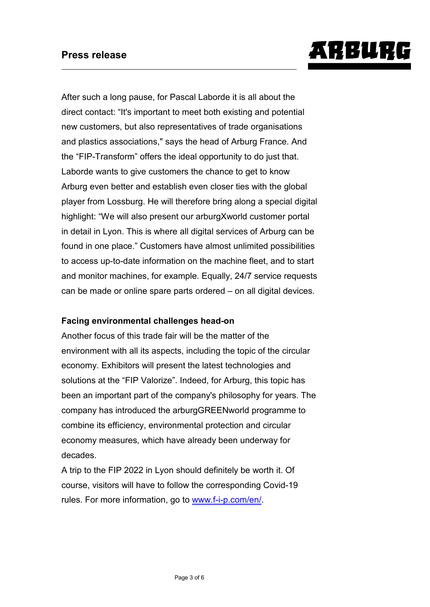## **Press release**



After such a long pause, for Pascal Laborde it is all about the direct contact: "It's important to meet both existing and potential new customers, but also representatives of trade organisations and plastics associations," says the head of Arburg France. And the "FIP-Transform" offers the ideal opportunity to do just that. Laborde wants to give customers the chance to get to know Arburg even better and establish even closer ties with the global player from Lossburg. He will therefore bring along a special digital highlight: "We will also present our arburgXworld customer portal in detail in Lyon. This is where all digital services of Arburg can be found in one place." Customers have almost unlimited possibilities to access up-to-date information on the machine fleet, and to start and monitor machines, for example. Equally, 24/7 service requests can be made or online spare parts ordered – on all digital devices.

### **Facing environmental challenges head-on**

Another focus of this trade fair will be the matter of the environment with all its aspects, including the topic of the circular economy. Exhibitors will present the latest technologies and solutions at the "FIP Valorize". Indeed, for Arburg, this topic has been an important part of the company's philosophy for years. The company has introduced the arburgGREENworld programme to combine its efficiency, environmental protection and circular economy measures, which have already been underway for decades.

A trip to the FIP 2022 in Lyon should definitely be worth it. Of course, visitors will have to follow the corresponding Covid-19 rules. For more information, go to [www.f-i-p.com/en/.](http://www.f-i-p.com/en/)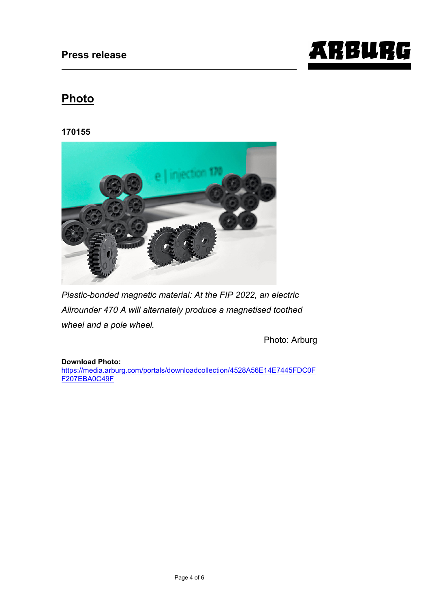# **ARBURG**

# **Photo**

## **170155**



*Plastic-bonded magnetic material: At the FIP 2022, an electric Allrounder 470 A will alternately produce a magnetised toothed wheel and a pole wheel.*

Photo: Arburg

#### **Download Photo:**

[https://media.arburg.com/portals/downloadcollection/4528A56E14E7445FDC0F](https://media.arburg.com/portals/downloadcollection/4528A56E14E7445FDC0FF207EBA0C49F) [F207EBA0C49F](https://media.arburg.com/portals/downloadcollection/4528A56E14E7445FDC0FF207EBA0C49F)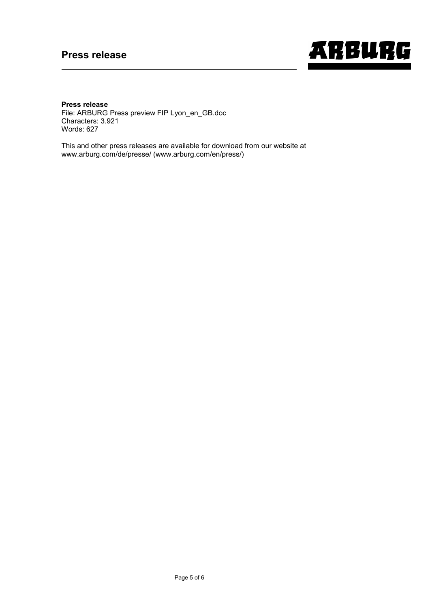# **Press release**



#### **Press release**

File: ARBURG Press preview FIP Lyon\_en\_GB.doc Characters: 3.921 Words: 627

This and other press releases are available for download from our website at www.arburg.com/de/presse/ (www.arburg.com/en/press/)